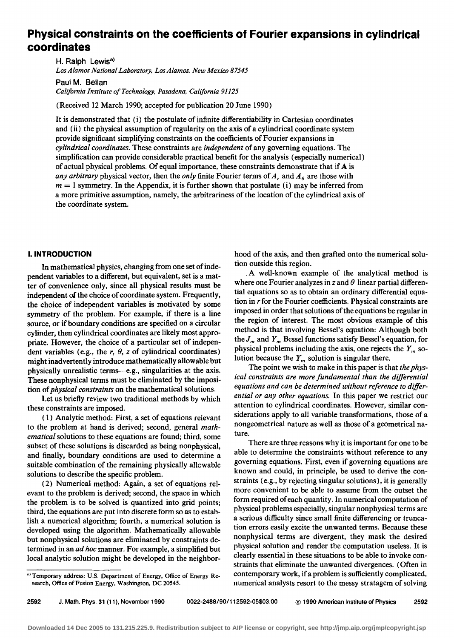# **Physical constraints on the coefficients of Fourier expansions in cylindrical coordinates**

H. Ralph Lewis<sup>a)</sup> *Los Alamos National Laboratory, Los Alamos, New Mexico 87545* 

Paul M. Bellan *California Institute of Technology, Pasadena, California 91125* 

(Received 12 March 1990; accepted for publication 20 June 1990)

It is demonstrated that (i) the postulate of infinite differentiability in Cartesian coordinates and (ii) the physical assumption of regularity on the axis of a cylindrical coordinate system provide significant simplifying constraints on the coefficients of Fourier expansions in *cylindrical coordinates.* These constraints are *independent* of any governing equations. The simplification can provide considerable practical benefit for the analysis (especially numerical) of actual physical problems. Of equal importance, these constraints demonstrate that if A is *any arbitrary* physical vector, then the *only* finite Fourier terms of  $A_t$ , and  $A_\theta$  are those with  $m = 1$  symmetry. In the Appendix, it is further shown that postulate (i) may be inferred from a more primitive assumption, namely, the arbitrariness of the location of the cylindrical axis of the coordinate system.

## I. **INTRODUCTION**

In mathematical physics, changing from one set of independent variables to a different, but equivalent, set is a matter of convenience only, since all physical results must be independent of the choice of coordinate system. Frequently, the choice of independent variables is motivated by some symmetry of the problem. For example, if there is a line source, or if boundary conditions are specified on a circular cylinder, then cylindrical coordinates are likely most appropriate. However, the choice of a particular set of independent variables (e.g., the  $r$ ,  $\theta$ ,  $z$  of cylindrical coordinates) might inadvertently introduce mathematically allowable but physically unrealistic terms-e.g., singularities at the axis. These nonphysical terms must be eliminated by the imposition of *physical constraints* on the mathematical solutions.

Let us briefly review two traditional methods by which these constraints are imposed.

( 1) Analytic method: First, a set of equations relevant to the problem at hand is derived; second, general *mathematical* solutions to these equations are found; third, some subset of these solutions is discarded as being nonphysical, and finally, boundary conditions are used to determine a suitable combination of the remaining physically allowable solutions to describe the specific problem.

(2) Numerical method: Again, a set of equations relevant to the problem is derived; second, the space in which the problem is to be solved is quantized into grid points; third, the equations are put into discrete form so as to establish a numerical algorithm; fourth, a numerical solution is developed using the algorithm. Mathematically allowable but nonphysical solutions are eliminated by constraints determined in an *ad hoc* manner. For example, a simplified but local analytic solution might be developed in the neighborhood of the axis, and then grafted onto the numerical solution outside this region.

. A well-known example of the analytical method is where one Fourier analyzes in z and  $\theta$  linear partial differential equations so as to obtain an ordinary differential equation in *r* for the Fourier coefficients. Physical constraints are imposed in order that solutions of the equations be regular in the region of interest. The most obvious example of this method is that involving Bessel's equation: Although both the  $J_m$  and  $Y_m$  Bessel functions satisfy Bessel's equation, for physical problems including the axis, one rejects the *Y m* solution because the  $Y_m$  solution is singular there.

The point we wish to make in this paper is that *the physical constraints are more fundamental than the differential equations and can be determined without reference to differential or any other equations.* In this paper we restrict our attention to cylindrical coordinates. However, similar considerations apply to all variable transformations, those of a nongeometrical nature as well as those of a geometrical nature.

There are three reasons why it is important for one to be able to determine the constraints without reference to any governing equations. First, even if governing equations are known and could, in principle, be used to derive the constraints (e.g., by rejecting singular solutions), it is generally more convenient to be able to assume from the outset the form required of each quantity. In numerical computation of physical problems especially, singular nonphysical terms are a serious difficulty since small finite differencing or truncation errors easily excite the unwanted terms. Because these nonphysical terms are divergent, they mask the desired physical solution and render the computation useless. It is clearly essential in these situations to be able to invoke constraints that eliminate the unwanted divergences. (Often in contemporary work, if a problem is sufficiently complicated, numerical analysts resort to the messy stratagem of solving

a) Temporary address: U.S. Department of Energy, Office of Energy Research, Office of Fusion Energy, Washington, DC 20545.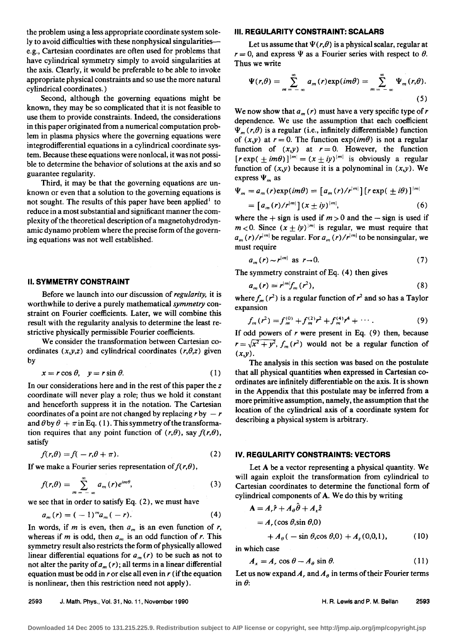the problem using a less appropriate coordinate system solely to avoid difficulties with these nonphysical singularitiese.g., Cartesian coordinates are often used for problems that have cylindrical symmetry simply to avoid singularities at the axis. Clearly, it would be preferable to be able to invoke appropriate physical constraints and so use the more natural cylindrical coordinates.)

Second, although the governing equations might be known, they may be so complicated that it is not feasible to use them to provide constraints. Indeed, the considerations in this paper originated from a numerical computation problem in plasma physics where the governing equations were integrodifferential equations in a cylindrical coordinate system. Because these equations were nonlocal, it was not possible to determine the behavior of solutions at the axis and so guarantee regularity.

Third, it may be that the governing equations are unknown or even that a solution to the governing equations is not sought. The results of this paper have been applied  $1$  to reduce in a most substantial and significant manner the complexity of the theoretical description of a magnetohydrodynamic dynamo problem where the precise form of the governing equations was not well established.

#### II. **SYMMETRY CONSTRAINT**

Before we launch into our discussion of regularity, it is worthwhile to derive a purely mathematical symmetry constraint on Fourier coefficients. Later, we will combine this result with the regularity analysis to determine the least restrictive physically permissible Fourier coefficients.

We consider the transformation between Cartesian coordinates  $(x,y,z)$  and cylindrical coordinates  $(r,\theta,z)$  given by

$$
x = r \cos \theta, \quad y = r \sin \theta. \tag{1}
$$

In our considerations here and in the rest of this paper the *z*  coordinate will never play a role; thus we hold it constant and henceforth suppress it in the notation. The Cartesian coordinates of a point are not changed by replacing  $r$  by  $- r$ and  $\theta$  by  $\theta + \pi$  in Eq. (1). This symmetry of the transformation requires that any point function of  $(r, \theta)$ , say  $f(r, \theta)$ , satisfy

$$
f(r,\theta) = f(-r,\theta + \pi). \tag{2}
$$

If we make a Fourier series representation of  $f(r,\theta)$ ,

$$
f(r,\theta) = \sum_{m=-\infty}^{\infty} a_m(r) e^{im\theta}, \qquad (3)
$$

we see that in order to satisfy Eq. (2), we must have

$$
a_m(r) = (-1)^m a_m(-r).
$$
 (4)

In words, if m is even, then  $a_m$  is an even function of r, whereas if *m* is odd, then  $a_m$  is an odd function of *r*. This symmetry result also restricts the form of physically allowed linear differential equations for  $a_m(r)$  to be such as not to not alter the parity of  $a_m(r)$ ; all terms in a linear differential equation must be odd in  $r$  or else all even in  $r$  (if the equation is nonlinear, then this restriction need not apply).

#### Ill. **REGULARITY CONSTRAINT: SCALARS**

Let us assume that  $\Psi(r,\theta)$  is a physical scalar, regular at  $r = 0$ , and express  $\Psi$  as a Fourier series with respect to  $\theta$ . Thus we write

$$
\Psi(r,\theta) = \sum_{m=-\infty}^{\infty} a_m(r) \exp(im\theta) = \sum_{m=-\infty}^{\infty} \Psi_m(r,\theta).
$$
\n(5)

We now show that  $a_m(r)$  must have a very specific type of r dependence. We use the assumption that each coefficient  $\Psi_m(r,\theta)$  is a regular (i.e., infinitely differentiable) function of  $(x,y)$  at  $r = 0$ . The function  $exp(im\theta)$  is not a regular function of  $(x,y)$  at  $r=0$ . However, the function  $[r \exp(\pm im\theta)]^{m} = (x \pm iy)^{|m|}$  is obviously a regular function of  $(x,y)$  because it is a polynominal in  $(x,y)$ . We express  $\Psi_m$  as

$$
\Psi_m = a_m(r) \exp(im\theta) = \left[a_m(r)/r^{|m|}\right] \left[r \exp(\pm i\theta)\right]^{|m|}
$$

$$
= \left[a_m(r)/r^{|m|}\right] (x \pm iy)^{|m|}, \tag{6}
$$

where the + sign is used if  $m > 0$  and the - sign is used if  $m < 0$ . Since  $(x + iy)^{|m|}$  is regular, we must require that  $a_m(r)/r^{|m|}$  be regular. For  $a_m(r)/r^{|m|}$  to be nonsingular, we must require

$$
a_m(r) \sim r^{|m|} \text{ as } r \to 0. \tag{7}
$$

The symmetry constraint of Eq. ( 4) then gives

$$
a_m(r) = r^{|m|} f_m(r^2),
$$
 (8)

where  $f_m(r^2)$  is a regular function of  $r^2$  and so has a Taylor expansion

$$
f_m(r^2) = f_m^{(0)} + f_m^{(2)}r^2 + f_m^{(4)}r^4 + \cdots
$$
 (9)

If odd powers of *r* were present in Eq. (9) then, because  $r = \sqrt{x^2 + y^2}$ ,  $f_m(r^2)$  would not be a regular function of  $(x,y)$ .

The analysis in this section was based on the postulate that all physical quantities when expressed in Cartesian coordinates are infinitely differentiable on the axis. It is shown in the Appendix that this postulate may be inferred from a more primitive assumption, namely, the assumption that the location of the cylindrical axis of a coordinate system for describing a physical system is arbitrary.

#### IV. **REGULARITY CONSTRAINTS: VECTORS**

Let A be a vector representing a physical quantity. We will again exploit the transformation from cylindrical to Cartesian coordinates to determine the functional form of cylindrical components of A. We do this by writing

$$
\begin{aligned} \mathbf{A} &= A_r \hat{r} + A_\theta \hat{\theta} + A_z \hat{z} \\ &= A_r (\cos \theta, \sin \theta, 0) \\ &+ A_\theta (-\sin \theta, \cos \theta, 0) + A_z (0, 0, 1), \end{aligned} \tag{10}
$$

in which case

$$
A_x = A_r \cos \theta - A_\theta \sin \theta. \tag{11}
$$

Let us now expand  $A_r$  and  $A_\theta$  in terms of their Fourier terms in  $\theta$ :

2593 J. Math. Phys., Vol. 31, No. 11, November 1990

H. A. Lewis and P. M. Bellan 2593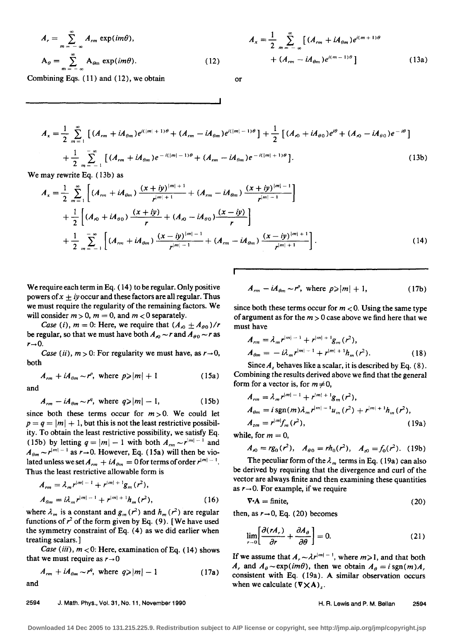$$
A_r = \sum_{m=-\infty}^{\infty} A_{rm} \exp(im\theta),
$$
  
\n
$$
A_{\theta} = \sum_{m=-\infty}^{\infty} A_{\theta m} \exp(im\theta).
$$
 (12)

Combining Eqs. ( 11) and ( 12), we obtain

$$
A_x = \frac{1}{2} \sum_{m = -\infty}^{\infty} \left[ (A_{rm} + iA_{\theta m}) e^{i(m+1)\theta} + (A_{rm} - iA_{\theta m}) e^{i(m-1)\theta} \right]
$$
(13a)

or

$$
A_x = \frac{1}{2} \sum_{m=1}^{\infty} \left[ (A_{rm} + iA_{\theta m}) e^{i(|m|+1)\theta} + (A_{rm} - iA_{\theta m}) e^{i(|m|-1)\theta} \right] + \frac{1}{2} \left[ (A_{\theta} + iA_{\theta 0}) e^{i\theta} + (A_{\theta 0} - iA_{\theta 0}) e^{-i\theta} \right] + \frac{1}{2} \sum_{m=-1}^{\infty} \left[ (A_{rm} + iA_{\theta m}) e^{-i(|m|-1)\theta} + (A_{rm} - iA_{\theta m}) e^{-i(|m|+1)\theta} \right].
$$
\n(13b)

We may rewrite Eq. ( 13b) as

$$
A_{x} = \frac{1}{2} \sum_{m=1}^{\infty} \left[ (A_{rm} + iA_{\theta m}) \frac{(x + iy)^{|m|+1}}{r^{|m|+1}} + (A_{rm} - iA_{\theta m}) \frac{(x + iy)^{|m|-1}}{r^{|m|-1}} \right] + \frac{1}{2} \left[ (A_{r0} + iA_{\theta 0}) \frac{(x + iy)}{r} + (A_{r0} - iA_{\theta 0}) \frac{(x - iy)}{r} \right] + \frac{1}{2} \sum_{m=-1}^{\infty} \left[ (A_{rm} + iA_{\theta m}) \frac{(x - iy)^{|m|-1}}{r^{|m|-1}} + (A_{rm} - iA_{\theta m}) \frac{(x - iy)^{|m|+1}}{r^{|m|+1}} \right].
$$
 (14)

We require each term in Eq. ( 14) to be regular. Only positive powers of  $x \pm iy$  occur and these factors are all regular. Thus we must require the regularity of the remaining factors. We will consider  $m > 0$ ,  $m = 0$ , and  $m < 0$  separately.

*Case (i), m = 0:* Here, we require that  $(A_{0} \pm A_{00})/r$ be regular, so that we must have both  $A_{r0} \sim r$  and  $A_{\theta0} \sim r$  as  $r\rightarrow 0$ .

*Case (ii), m > 0:* For regularity we must have, as  $r \rightarrow 0$ , both

$$
A_{rm} + iA_{\theta m} \sim r^{\rho}, \text{ where } p \ge |m| + 1 \tag{15a}
$$

and

$$
A_{rm} - iA_{\theta m} \sim r^q, \text{ where } q \ge |m| - 1,
$$
 (15b)

since both these terms occur for  $m > 0$ . We could let  $p = q = |m| + 1$ , but this is not the least restrictive possibility. To obtain the least restrictive possibility, we satisfy Eq. (15b) by letting  $q = |m| - 1$  with both  $A_{rn} \sim r^{|m|-1}$  and  $A_{\theta m} \sim r^{|m|-1}$  as  $r \to 0$ . However, Eq. (15a) will then be violated unless we set  $A_{rm} + iA_{\theta m} = 0$  for terms of order  $r^{|m| - 1}$ . Thus the least restrictive allowable form is

$$
A_{rm} = \lambda_m r^{|m| - 1} + r^{|m| + 1} g_m(r^2),
$$
  
\n
$$
A_{\theta m} = i \lambda_m r^{|m| - 1} + r^{|m| + 1} h_m(r^2),
$$
\n(16)

where  $\lambda_m$  is a constant and  $g_m(r^2)$  and  $h_m(r^2)$  are regular functions of  $r^2$  of the form given by Eq. (9). [We have used the symmetry constraint of Eq. ( 4) as we did earlier when treating scalars.]

*Case (iii),*  $m < 0$ *:* Here, examination of Eq. (14) shows that we must require as  $r \rightarrow 0$ 

$$
A_{rm} + iA_{\theta m} \sim r^q, \text{ where } q \ge |m| - 1 \tag{17a}
$$

and

 $A_{rm} - iA_{\theta m} \sim r^{\rho}$ , where  $p \ge |m| + 1$ , (17b)

since both these terms occur for  $m < 0$ . Using the same type of argument as for the  $m > 0$  case above we find here that we must have

$$
A_{rm} = \lambda_m r^{|m| - 1} + r^{|m| + 1} g_m(r^2),
$$
  
\n
$$
A_{\theta m} = -i \lambda_m r^{|m| - 1} + r^{|m| + 1} h_m(r^2).
$$
\n(18)

Since  $A_z$  behaves like a scalar, it is described by Eq. (8). Combining the results derived above we find that the general form for a vector is, for  $m \neq 0$ ,

$$
A_{rm} = \lambda_m r^{|m| - 1} + r^{|m| + 1} g_m(r^2),
$$
  
\n
$$
A_{\theta m} = i \operatorname{sgn}(m) \lambda_m r^{|m| - 1} u_m(r^2) + r^{|m| + 1} h_m(r^2),
$$
  
\n
$$
A_{zm} = r^{|m|} f_m(r^2),
$$
\n(19a)

while, for  $m = 0$ ,

$$
A_{r0}=rg_0(r^2), A_{\theta 0}=rh_0(r^2), A_{z0}=f_0(r^2). (19b)
$$

The peculiar form of the  $\lambda_m$  terms in Eq. (19a) can also be derived by requiring that the divergence and curl of the vector are always finite and then examining these quantities as  $r \rightarrow 0$ . For example, if we require

$$
\nabla \cdot \mathbf{A} = \text{finite},\tag{20}
$$

then, as  $r \rightarrow 0$ , Eq. (20) becomes

$$
\lim_{r \to 0} \left[ \frac{\partial (rA_r)}{\partial r} + \frac{\partial A_\theta}{\partial \theta} \right] = 0.
$$
 (21)

If we assume that  $A_r \sim \lambda r^{|m| - 1}$ , where  $m \ge 1$ , and that both *A*, and  $A_{\theta} \sim \exp(im\theta)$ , then we obtain  $A_{\theta} = i \text{sgn}(m)A_{r}$ consistent with Eq. ( 19a). A similar observation occurs when we calculate  $(\nabla \times A)$ .

2594 J. Math. Phys., Vol. 31, No. 11, November 1990

H. R. Lewis and P. M. Bellan 2594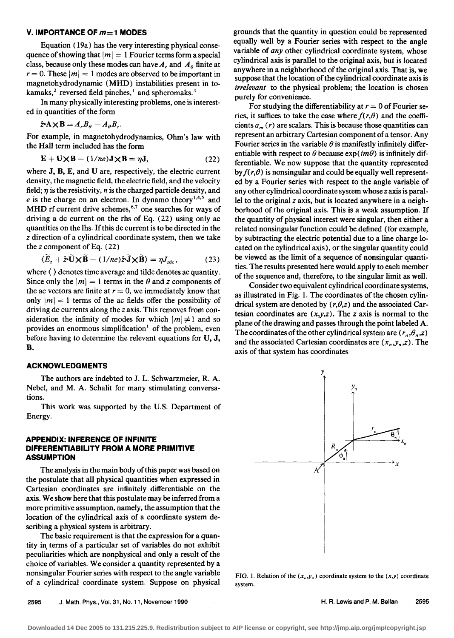### **V. IMPORTANCE OF** *m=* **1 MODES**

Equation ( 19a) has the very interesting physical consequence of showing that  $|m| = 1$  Fourier terms form a special class, because only these modes can have  $A_r$ , and  $A_\theta$  finite at  $r = 0$ . These  $|m| = 1$  modes are observed to be important in magnetohydrodynamic (MHD) instabilities present in tokamaks, $2$  reversed field pinches, $1$  and spheromaks. $3$ 

In many physically interesting problems, one is interested in quantities of the form

$$
\hat{z} \cdot \mathbf{A} \times \mathbf{B} = A_r B_\theta - A_\theta B_r.
$$

For example, in magnetohydrodynamics, Ohm's law with the Hall term included has the form

$$
\mathbf{E} + \mathbf{U} \times \mathbf{B} - (1/ne)\mathbf{J} \times \mathbf{B} = \eta \mathbf{J},\tag{22}
$$

where **J**, **B**, **E**, and **U** are, respectively, the electric current density, the magnetic field, the electric field, and the velocity field;  $\eta$  is the resistivity,  $n$  is the charged particle density, and e is the charge on an electron. In dynamo theory<sup>1,4,5</sup> and MHD rf current drive schemes,  $6,7$  one searches for ways of driving a de current on the rhs of Eq. (22) using only ac quantities on the lhs. If this de current is to be directed in the *z* direction of a cylindrical coordinate system, then we take the *z* component of Eq. ( 22)

$$
\langle \widetilde{E}_z + \hat{z} \cdot \widetilde{\mathbf{U}} \times \widetilde{\mathbf{B}} - (1/ne)\hat{z} \cdot \widetilde{\mathbf{J}} \times \widetilde{\mathbf{B}} \rangle = \eta J_{zdc}, \qquad (23)
$$

where ( ) denotes time average and tilde denotes ac quantity. Since only the  $|m| = 1$  terms in the  $\theta$  and *z* components of the ac vectors are finite at  $r = 0$ , we immediately know that only  $|m| = 1$  terms of the ac fields offer the possibility of driving de currents along the *z* axis. This removes from consideration the infinity of modes for which  $|m| \neq 1$  and so provides an enormous simplification<sup>1</sup> of the problem, even before having to determine the relevant equations for U, J, B.

#### **ACKNOWLEDGMENTS**

The authors are indebted to J. L. Schwarzmeier, R. A. Nebel, and M. A. Schalit for many stimulating conversations.

This work was supported by the U.S. Department of Energy.

## **APPENDIX: INFERENCE OF INFINITE DIFFERENTIABILITY FROM A MORE PRIMITIVE ASSUMPTION**

The analysis in the main body of this paper was based on the postulate that all physical quantities when expressed in Cartesian coordinates are infinitely differentiable on the axis. We show here that this postulate may be inferred from a more primitive assumption, namely, the assumption that the location of the cylindrical axis of a coordinate system describing a physical system is arbitrary.

The basic requirement is that the expression for a quantity in terms of a particular set of variables do not exhibit peculiarities which are nonphysical and only a result of the choice of variables. We consider a quantity represented by a nonsingular Fourier series with respect to the angle variable of a cylindrical coordinate system. Suppose on physical grounds that the quantity in question could be represented equally well by a Fourier series with respect to the angle variable of *any* other cylindrical coordinate system, whose cylindrical axis is parallel to the original axis, but is located anywhere in a neighborhood of the original axis. That is, we suppose that the location of the cylindrical coordinate axis is *irrelevant* to the physical problem; the location is chosen purely for convenience.

For studying the differentiability at  $r = 0$  of Fourier series, it suffices to take the case where  $f(r,\theta)$  and the coefficients  $a_m(r)$  are scalars. This is because those quantities can represent an arbitrary Cartesian component of a tensor. Any Fourier series in the variable  $\theta$  is manifestly infinitely differentiable with respect to  $\theta$  because  $exp(im\theta)$  is infinitely differentiable. We now suppose that the quantity represented by  $f(r,\theta)$  is nonsingular and could be equally well represented by a Fourier series with respect to the angle variable of any other cylindrical coordinate system whosez axis is parallel to the original *z* axis, but is located anywhere in a neighborhood of the original axis. This is a weak assumption. If the quantity of physical interest were singular, then either a related nonsingular function could be defined (for example, by subtracting the electric potential due to a line charge located on the cylindrical axis), or the singular quantity could be viewed as the limit of a sequence of nonsingular quantities. The results presented here would apply to each member of the sequence and, therefore, to the singular limit as well.

Consider two equivalent cylindrical coordinate systems, as illustrated in Fig. 1. The coordinates of the chosen cylindrical system are denoted by  $(r, \theta, z)$  and the associated Cartesian coordinates are  $(x,y,z)$ . The z axis is normal to the plane of the drawing and passes through the point labeled A. The coordinates of the other cylindrical system are  $(r_n, \theta_n, z)$ and the associated Cartesian coordinates are  $(x_n, y_n, z)$ . The axis of that system has coordinates



FIG. 1. Relation of the  $(x_n, y_n)$  coordinate system to the  $(x, y)$  coordinate system.